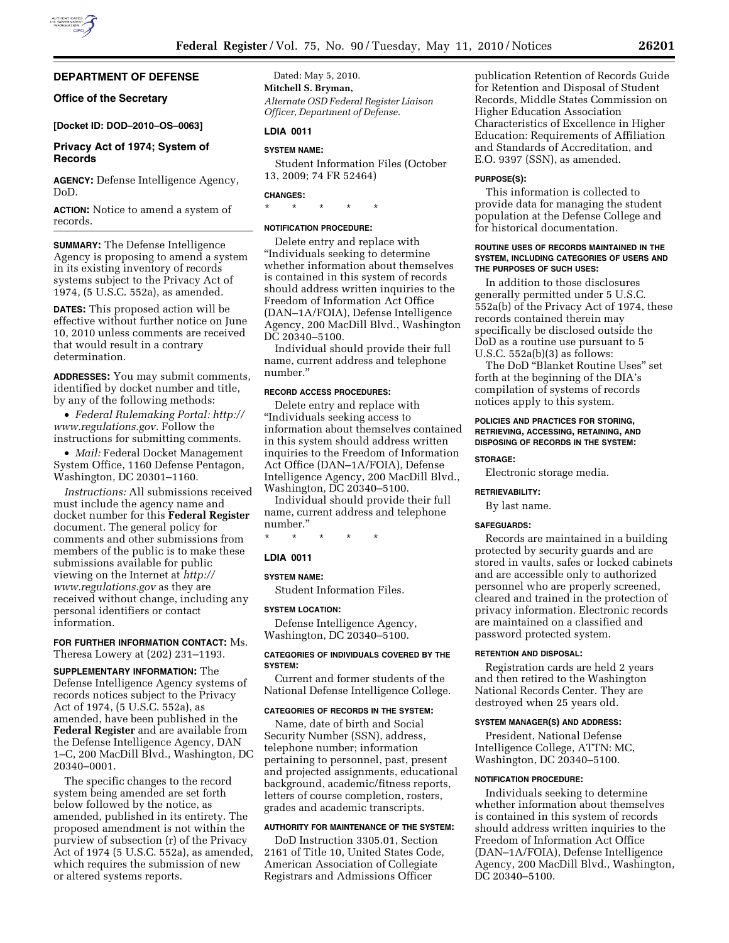# **DEPARTMENT OF DEFENSE**

# **Office of the Secretary**

# **[Docket ID: DOD–2010–OS–0063]**

## **Privacy Act of 1974; System of Records**

**AGENCY:** Defense Intelligence Agency, DoD.

**ACTION:** Notice to amend a system of records.

**SUMMARY:** The Defense Intelligence Agency is proposing to amend a system in its existing inventory of records systems subject to the Privacy Act of 1974, (5 U.S.C. 552a), as amended.

**DATES:** This proposed action will be effective without further notice on June 10, 2010 unless comments are received that would result in a contrary determination.

**ADDRESSES:** You may submit comments, identified by docket number and title, by any of the following methods:

• *Federal Rulemaking Portal: http:// www.regulations.gov.* Follow the instructions for submitting comments.

• *Mail:* Federal Docket Management System Office, 1160 Defense Pentagon, Washington, DC 20301–1160.

*Instructions:* All submissions received must include the agency name and docket number for this **Federal Register**  document. The general policy for comments and other submissions from members of the public is to make these submissions available for public viewing on the Internet at *http:// www.regulations.gov* as they are received without change, including any personal identifiers or contact information.

**FOR FURTHER INFORMATION CONTACT:** Ms. Theresa Lowery at (202) 231–1193.

**SUPPLEMENTARY INFORMATION:** The Defense Intelligence Agency systems of records notices subject to the Privacy Act of 1974, (5 U.S.C. 552a), as amended, have been published in the **Federal Register** and are available from the Defense Intelligence Agency, DAN 1–C, 200 MacDill Blvd., Washington, DC 20340–0001.

The specific changes to the record system being amended are set forth below followed by the notice, as amended, published in its entirety. The proposed amendment is not within the purview of subsection (r) of the Privacy Act of 1974 (5 U.S.C. 552a), as amended, which requires the submission of new or altered systems reports.

Dated: May 5, 2010. **Mitchell S. Bryman,**  *Alternate OSD Federal Register Liaison Officer, Department of Defense.* 

# **LDIA 0011**

#### **SYSTEM NAME:**

Student Information Files (October 13, 2009; 74 FR 52464)

# **CHANGES:**

\* \* \* \* \*

# **NOTIFICATION PROCEDURE:**

Delete entry and replace with ''Individuals seeking to determine whether information about themselves is contained in this system of records should address written inquiries to the Freedom of Information Act Office (DAN–1A/FOIA), Defense Intelligence Agency, 200 MacDill Blvd., Washington DC 20340–5100.

Individual should provide their full name, current address and telephone number.''

## **RECORD ACCESS PROCEDURES:**

Delete entry and replace with ''Individuals seeking access to information about themselves contained in this system should address written inquiries to the Freedom of Information Act Office (DAN–1A/FOIA), Defense Intelligence Agency, 200 MacDill Blvd., Washington, DC 20340–5100.

Individual should provide their full name, current address and telephone number.''

\* \* \* \* \*

## **LDIA 0011**

#### **SYSTEM NAME:**

Student Information Files.

#### **SYSTEM LOCATION:**

Defense Intelligence Agency, Washington, DC 20340–5100.

#### **CATEGORIES OF INDIVIDUALS COVERED BY THE SYSTEM:**

Current and former students of the National Defense Intelligence College.

#### **CATEGORIES OF RECORDS IN THE SYSTEM:**

Name, date of birth and Social Security Number (SSN), address, telephone number; information pertaining to personnel, past, present and projected assignments, educational background, academic/fitness reports, letters of course completion, rosters, grades and academic transcripts.

# **AUTHORITY FOR MAINTENANCE OF THE SYSTEM:**

DoD Instruction 3305.01, Section 2161 of Title 10, United States Code, American Association of Collegiate Registrars and Admissions Officer

publication Retention of Records Guide for Retention and Disposal of Student Records, Middle States Commission on Higher Education Association Characteristics of Excellence in Higher Education: Requirements of Affiliation and Standards of Accreditation, and E.O. 9397 (SSN), as amended.

#### **PURPOSE(S):**

This information is collected to provide data for managing the student population at the Defense College and for historical documentation.

#### **ROUTINE USES OF RECORDS MAINTAINED IN THE SYSTEM, INCLUDING CATEGORIES OF USERS AND THE PURPOSES OF SUCH USES:**

In addition to those disclosures generally permitted under 5 U.S.C. 552a(b) of the Privacy Act of 1974, these records contained therein may specifically be disclosed outside the DoD as a routine use pursuant to 5 U.S.C. 552a(b)(3) as follows:

The DoD ''Blanket Routine Uses'' set forth at the beginning of the DIA's compilation of systems of records notices apply to this system.

# **POLICIES AND PRACTICES FOR STORING, RETRIEVING, ACCESSING, RETAINING, AND DISPOSING OF RECORDS IN THE SYSTEM:**

#### **STORAGE:**

Electronic storage media.

#### **RETRIEVABILITY:**

By last name.

#### **SAFEGUARDS:**

Records are maintained in a building protected by security guards and are stored in vaults, safes or locked cabinets and are accessible only to authorized personnel who are properly screened, cleared and trained in the protection of privacy information. Electronic records are maintained on a classified and password protected system.

## **RETENTION AND DISPOSAL:**

Registration cards are held 2 years and then retired to the Washington National Records Center. They are destroyed when 25 years old.

#### **SYSTEM MANAGER(S) AND ADDRESS:**

President, National Defense Intelligence College, ATTN: MC, Washington, DC 20340–5100.

### **NOTIFICATION PROCEDURE:**

Individuals seeking to determine whether information about themselves is contained in this system of records should address written inquiries to the Freedom of Information Act Office (DAN–1A/FOIA), Defense Intelligence Agency, 200 MacDill Blvd., Washington, DC 20340–5100.